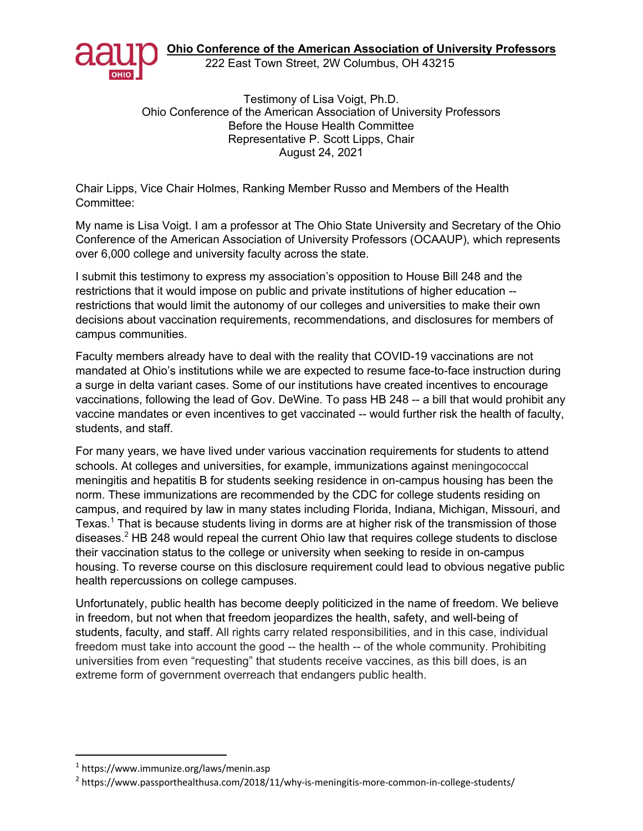**Ohio Conference of the American Association of University Professors**



222 East Town Street, 2W Columbus, OH 43215

Testimony of Lisa Voigt, Ph.D. Ohio Conference of the American Association of University Professors Before the House Health Committee Representative P. Scott Lipps, Chair August 24, 2021

Chair Lipps, Vice Chair Holmes, Ranking Member Russo and Members of the Health Committee:

My name is Lisa Voigt. I am a professor at The Ohio State University and Secretary of the Ohio Conference of the American Association of University Professors (OCAAUP), which represents over 6,000 college and university faculty across the state.

I submit this testimony to express my association's opposition to House Bill 248 and the restrictions that it would impose on public and private institutions of higher education - restrictions that would limit the autonomy of our colleges and universities to make their own decisions about vaccination requirements, recommendations, and disclosures for members of campus communities.

Faculty members already have to deal with the reality that COVID-19 vaccinations are not mandated at Ohio's institutions while we are expected to resume face-to-face instruction during a surge in delta variant cases. Some of our institutions have created incentives to encourage vaccinations, following the lead of Gov. DeWine. To pass HB 248 -- a bill that would prohibit any vaccine mandates or even incentives to get vaccinated -- would further risk the health of faculty, students, and staff.

For many years, we have lived under various vaccination requirements for students to attend schools. At colleges and universities, for example, immunizations against meningococcal meningitis and hepatitis B for students seeking residence in on-campus housing has been the norm. These immunizations are recommended by the CDC for college students residing on campus, and required by law in many states including Florida, Indiana, Michigan, Missouri, and Texas.<sup>1</sup> That is because students living in dorms are at higher risk of the transmission of those diseases.<sup>2</sup> HB 248 would repeal the current Ohio law that requires college students to disclose their vaccination status to the college or university when seeking to reside in on-campus housing. To reverse course on this disclosure requirement could lead to obvious negative public health repercussions on college campuses.

Unfortunately, public health has become deeply politicized in the name of freedom. We believe in freedom, but not when that freedom jeopardizes the health, safety, and well-being of students, faculty, and staff. All rights carry related responsibilities, and in this case, individual freedom must take into account the good -- the health -- of the whole community. Prohibiting universities from even "requesting" that students receive vaccines, as this bill does, is an extreme form of government overreach that endangers public health.

<sup>1</sup> https://www.immunize.org/laws/menin.asp

<sup>2</sup> https://www.passporthealthusa.com/2018/11/why-is-meningitis-more-common-in-college-students/